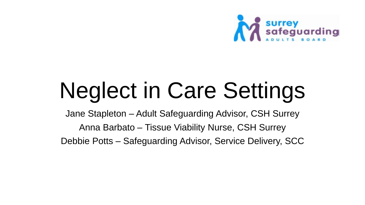

# Neglect in Care Settings

Jane Stapleton – Adult Safeguarding Advisor, CSH Surrey Anna Barbato – Tissue Viability Nurse, CSH Surrey Debbie Potts – Safeguarding Advisor, Service Delivery, SCC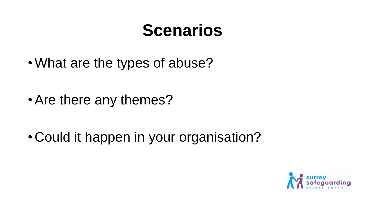## **Scenarios**

•What are the types of abuse?

• Are there any themes?

• Could it happen in your organisation?

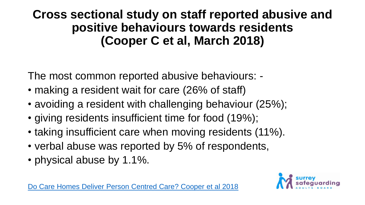**Cross sectional study on staff reported abusive and positive behaviours towards residents (Cooper C et al, March 2018)**

The most common reported abusive behaviours: -

- making a resident wait for care (26% of staff)
- avoiding a resident with challenging behaviour (25%);
- giving residents insufficient time for food (19%);
- taking insufficient care when moving residents (11%).
- verbal abuse was reported by 5% of respondents,
- physical abuse by 1.1%.



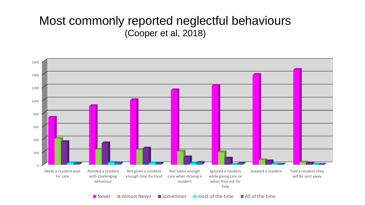#### Most commonly reported neglectful behaviours (Cooper et al, 2018)

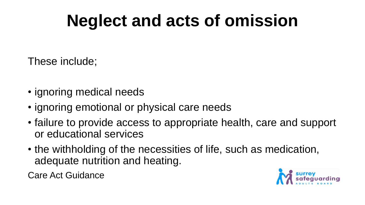# **Neglect and acts of omission**

These include;

- ignoring medical needs
- ignoring emotional or physical care needs
- failure to provide access to appropriate health, care and support or educational services
- the withholding of the necessities of life, such as medication, adequate nutrition and heating.

Care Act Guidance

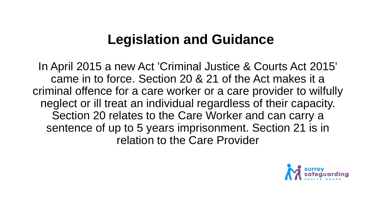### **Legislation and Guidance**

In April 2015 a new Act 'Criminal Justice & Courts Act 2015' came in to force. Section 20 & 21 of the Act makes it a criminal offence for a care worker or a care provider to wilfully neglect or ill treat an individual regardless of their capacity. Section 20 relates to the Care Worker and can carry a sentence of up to 5 years imprisonment. Section 21 is in relation to the Care Provider

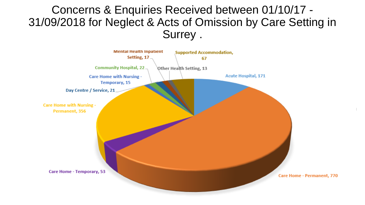### Concerns & Enquiries Received between 01/10/17 - 31/09/2018 for Neglect & Acts of Omission by Care Setting in Surrey .

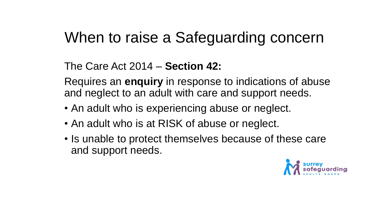### When to raise a Safeguarding concern

#### The Care Act 2014 – **Section 42:**

Requires an **enquiry** in response to indications of abuse and neglect to an adult with care and support needs.

- An adult who is experiencing abuse or neglect.
- An adult who is at RISK of abuse or neglect.
- Is unable to protect themselves because of these care and support needs.

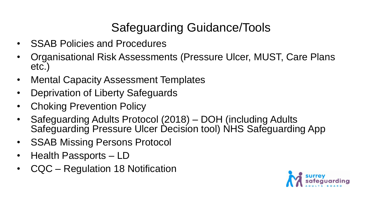### Safeguarding Guidance/Tools

- SSAB Policies and Procedures
- Organisational Risk Assessments (Pressure Ulcer, MUST, Care Plans etc.)
- Mental Capacity Assessment Templates
- Deprivation of Liberty Safeguards
- Choking Prevention Policy
- Safeguarding Adults Protocol (2018) DOH (including Adults Safeguarding Pressure Ulcer Decision tool) NHS Safeguarding App
- SSAB Missing Persons Protocol
- Health Passports LD
- CQC Regulation 18 Notification

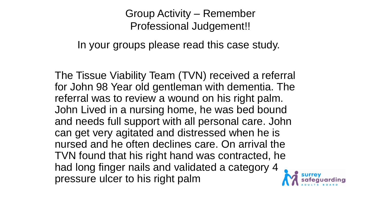### Group Activity – Remember Professional Judgement!!

In your groups please read this case study.

The Tissue Viability Team (TVN) received a referral for John 98 Year old gentleman with dementia. The referral was to review a wound on his right palm. John Lived in a nursing home, he was bed bound and needs full support with all personal care. John can get very agitated and distressed when he is nursed and he often declines care. On arrival the TVN found that his right hand was contracted, he had long finger nails and validated a category 4 pressure ulcer to his right palm